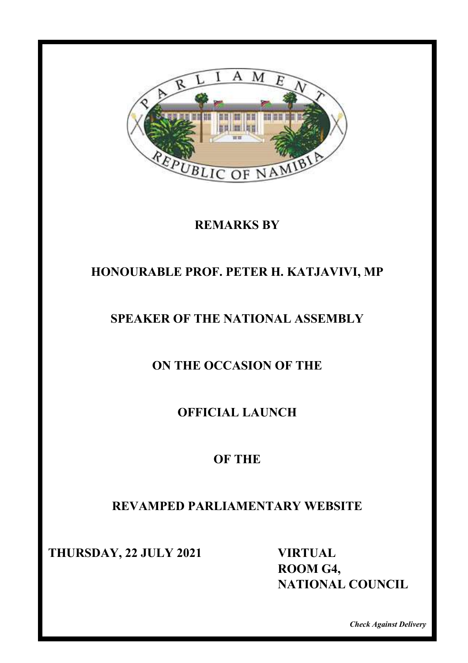

#### **REMARKS BY**

## **HONOURABLE PROF. PETER H. KATJAVIVI, MP**

## **SPEAKER OF THE NATIONAL ASSEMBLY**

**ON THE OCCASION OF THE**

**OFFICIAL LAUNCH** 

## **OF THE**

## **REVAMPED PARLIAMENTARY WEBSITE**

**THURSDAY, 22 JULY 2021 VIRTUAL** 

**HONSDAM, 22 JOLA 2021** WINTON,  **ROOM G4, NATIONAL COUNCIL**

*Check Against Delivery*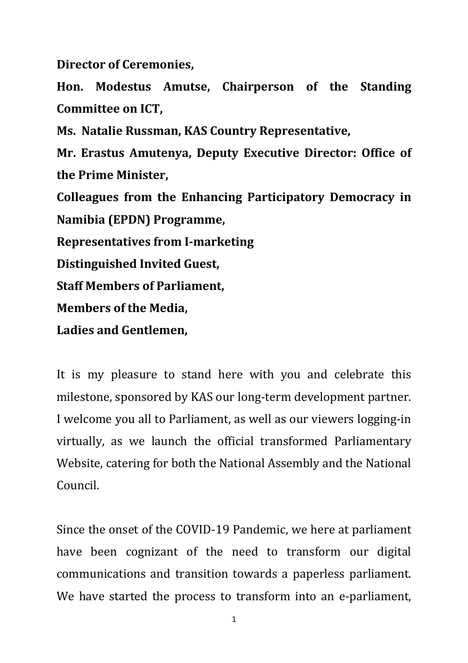**Director of Ceremonies,**

Hon. Modestus Amutse, Chairperson of the Standing **Committee on ICT,** 

**Ms. Natalie Russman, KAS Country Representative,**

**Mr. Erastus Amutenya, Deputy Executive Director: Office of the Prime Minister,**

**Colleagues from the Enhancing Participatory Democracy in Namibia (EPDN) Programme,**

**Representatives from I-marketing**

**Distinguished Invited Guest,** 

**Staff Members of Parliament.** 

**Members of the Media.** 

Ladies and Gentlemen,

It is my pleasure to stand here with you and celebrate this milestone, sponsored by KAS our long-term development partner. I welcome you all to Parliament, as well as our viewers logging-in virtually, as we launch the official transformed Parliamentary Website, catering for both the National Assembly and the National Council.

Since the onset of the COVID-19 Pandemic, we here at parliament have been cognizant of the need to transform our digital communications and transition towards a paperless parliament. We have started the process to transform into an e-parliament,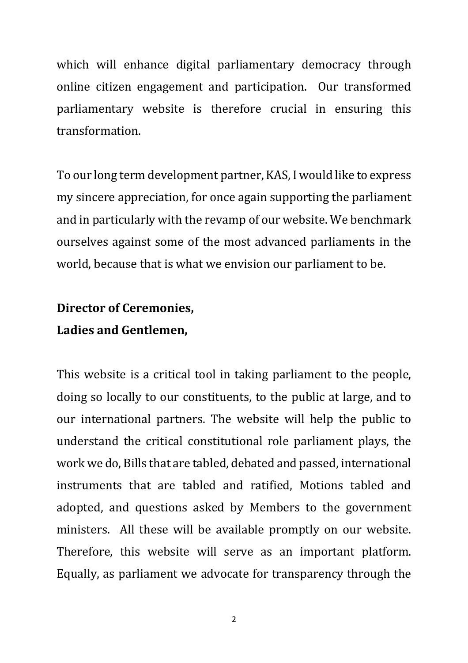which will enhance digital parliamentary democracy through online citizen engagement and participation. Our transformed parliamentary website is therefore crucial in ensuring this transformation. 

To our long term development partner, KAS, I would like to express my sincere appreciation, for once again supporting the parliament and in particularly with the revamp of our website. We benchmark ourselves against some of the most advanced parliaments in the world, because that is what we envision our parliament to be.

# **Director of Ceremonies,**

#### Ladies and Gentlemen,

This website is a critical tool in taking parliament to the people, doing so locally to our constituents, to the public at large, and to our international partners. The website will help the public to understand the critical constitutional role parliament plays, the work we do, Bills that are tabled, debated and passed, international instruments that are tabled and ratified, Motions tabled and adopted, and questions asked by Members to the government ministers. All these will be available promptly on our website. Therefore, this website will serve as an important platform. Equally, as parliament we advocate for transparency through the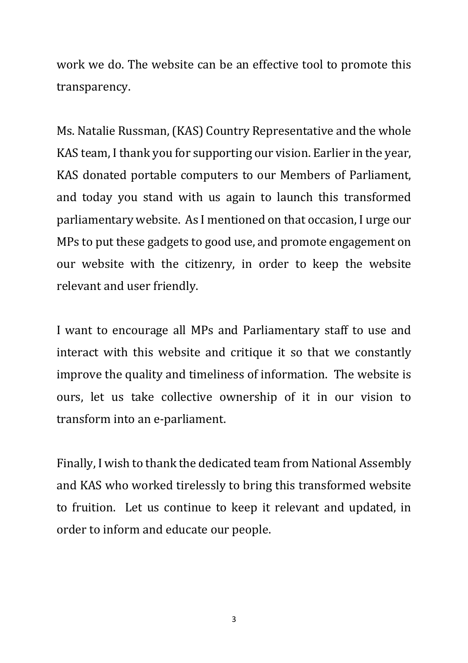work we do. The website can be an effective tool to promote this transparency.

Ms. Natalie Russman, (KAS) Country Representative and the whole KAS team, I thank you for supporting our vision. Earlier in the year, KAS donated portable computers to our Members of Parliament, and today you stand with us again to launch this transformed parliamentary website. As I mentioned on that occasion, I urge our MPs to put these gadgets to good use, and promote engagement on our website with the citizenry, in order to keep the website relevant and user friendly.

I want to encourage all MPs and Parliamentary staff to use and interact with this website and critique it so that we constantly improve the quality and timeliness of information. The website is ours, let us take collective ownership of it in our vision to transform into an e-parliament.

Finally, I wish to thank the dedicated team from National Assembly and KAS who worked tirelessly to bring this transformed website to fruition. Let us continue to keep it relevant and updated, in order to inform and educate our people.

3